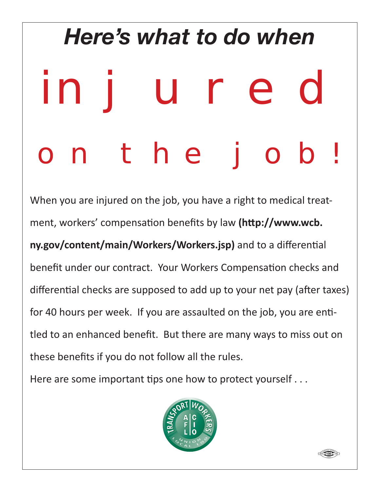# *Here's what to do when* INJ URE ON THE JOB

When you are injured on the job, you have a right to medical treatment, workers' compensation benefits by law **(http://www.wcb. ny.gov/content/main/Workers/Workers.jsp)** and to a differential benefit under our contract. Your Workers Compensation checks and differential checks are supposed to add up to your net pay (after taxes) for 40 hours per week. If you are assaulted on the job, you are entitled to an enhanced benefit. But there are many ways to miss out on these benefits if you do not follow all the rules.

Here are some important tips one how to protect yourself . . .



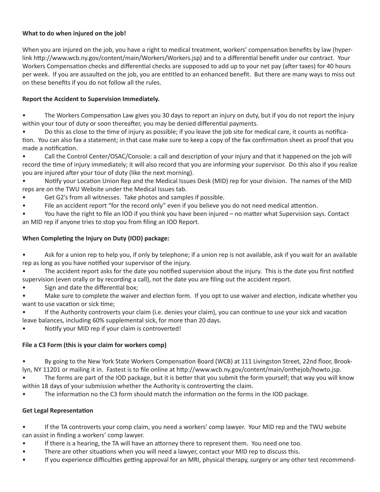## **What to do when injured on the job!**

When you are injured on the job, you have a right to medical treatment, workers' compensation benefits by law (hyperlink http://www.wcb.ny.gov/content/main/Workers/Workers.jsp) and to a differential benefit under our contract. Your Workers Compensation checks and differential checks are supposed to add up to your net pay (after taxes) for 40 hours per week. If you are assaulted on the job, you are entitled to an enhanced benefit. But there are many ways to miss out on these benefits if you do not follow all the rules.

### **Report the Accident to Supervision Immediately.**

• The Workers Compensation Law gives you 30 days to report an injury on duty, but if you do not report the injury within your tour of duty or soon thereafter, you may be denied differential payments.

- Do this as close to the time of injury as possible; if you leave the job site for medical care, it counts as notification. You can also fax a statement; in that case make sure to keep a copy of the fax confirmation sheet as proof that you made a notification.
- Call the Control Center/OSAC/Console: a call and description of your injury and that it happened on the job will record the time of injury immediately; it will also record that you are informing your supervisor. Do this also if you realize you are injured after your tour of duty (like the next morning).
- Notify your Location Union Rep and the Medical Issues Desk (MID) rep for your division. The names of the MID reps are on the TWU Website under the Medical Issues tab.
- Get G2's from all witnesses. Take photos and samples if possible.
- File an accident report "for the record only" even if you believe you do not need medical attention.
- You have the right to file an IOD if you think you have been injured no matter what Supervision says. Contact an MID rep if anyone tries to stop you from filing an IOD Report.

## **When Completing the Injury on Duty (IOD) package:**

• Ask for a union rep to help you, if only by telephone; if a union rep is not available, ask if you wait for an available rep as long as you have notified your supervisor of the injury.

• The accident report asks for the date you notified supervision about the injury. This is the date you first notified supervision (even orally or by recording a call), not the date you are filing out the accident report.

• Sign and date the differential box;

• Make sure to complete the waiver and election form. If you opt to use waiver and election, indicate whether you want to use vacation or sick time;

• If the Authority controverts your claim (i.e. denies your claim), you can continue to use your sick and vacation leave balances, including 60% supplemental sick, for more than 20 days.

• Notify your MID rep if your claim is controverted!

## **File a C3 Form (this is your claim for workers comp)**

• By going to the New York State Workers Compensation Board (WCB) at 111 Livingston Street, 22nd floor, Brooklyn, NY 11201 or mailing it in. Fastest is to file online at http://www.wcb.ny.gov/content/main/onthejob/howto.jsp.

The forms are part of the IOD package, but it is better that you submit the form yourself; that way you will know within 18 days of your submission whether the Authority is controverting the claim.

The information no the C3 form should match the information on the forms in the IOD package.

#### **Get Legal Representation**

- If the TA controverts your comp claim, you need a workers' comp lawyer. Your MID rep and the TWU website can assist in finding a workers' comp lawyer.
- If there is a hearing, the TA will have an attorney there to represent them. You need one too.
- There are other situations when you will need a lawyer, contact your MID rep to discuss this.
- If you experience difficulties getting approval for an MRI, physical therapy, surgery or any other test recommend-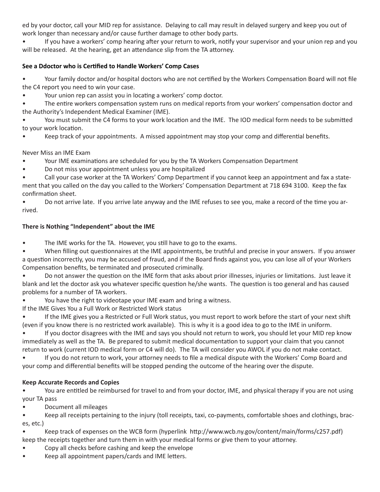ed by your doctor, call your MID rep for assistance. Delaying to call may result in delayed surgery and keep you out of work longer than necessary and/or cause further damage to other body parts.

• If you have a workers' comp hearing after your return to work, notify your supervisor and your union rep and you will be released. At the hearing, get an attendance slip from the TA attorney.

# **See a Ddoctor who is Certified to Handle Workers' Comp Cases**

• Your family doctor and/or hospital doctors who are not certified by the Workers Compensation Board will not file the C4 report you need to win your case.

Your union rep can assist you in locating a workers' comp doctor.

• The entire workers compensation system runs on medical reports from your workers' compensation doctor and the Authority's Independent Medical Examiner (IME).

• You must submit the C4 forms to your work location and the IME. The IOD medical form needs to be submitted to your work location.

• Keep track of your appointments. A missed appointment may stop your comp and differential benefits.

## Never Miss an IME Exam

- Your IME examinations are scheduled for you by the TA Workers Compensation Department
- Do not miss your appointment unless you are hospitalized

• Call your case worker at the TA Workers' Comp Department if you cannot keep an appointment and fax a statement that you called on the day you called to the Workers' Compensation Department at 718 694 3100. Keep the fax confirmation sheet.

• Do not arrive late. If you arrive late anyway and the IME refuses to see you, make a record of the time you arrived.

## **There is Nothing "Independent" about the IME**

• The IME works for the TA. However, you still have to go to the exams.

• When filling out questionnaires at the IME appointments, be truthful and precise in your answers. If you answer a question incorrectly, you may be accused of fraud, and if the Board finds against you, you can lose all of your Workers Compensation benefits, be terminated and prosecuted criminally.

• Do not answer the question on the IME form that asks about prior illnesses, injuries or limitations. Just leave it blank and let the doctor ask you whatever specific question he/she wants. The question is too general and has caused problems for a number of TA workers.

You have the right to videotape your IME exam and bring a witness.

If the IME Gives You a Full Work or Restricted Work status

• If the IME gives you a Restricted or Full Work status, you must report to work before the start of your next shift (even if you know there is no restricted work available). This is why it is a good idea to go to the IME in uniform.

• If you doctor disagrees with the IME and says you should not return to work, you should let your MID rep know immediately as well as the TA. Be prepared to submit medical documentation to support your claim that you cannot return to work (current IOD medical form or C4 will do). The TA will consider you AWOL if you do not make contact.

• If you do not return to work, your attorney needs to file a medical dispute with the Workers' Comp Board and your comp and differential benefits will be stopped pending the outcome of the hearing over the dispute.

## **Keep Accurate Records and Copies**

• You are entitled be reimbursed for travel to and from your doctor, IME, and physical therapy if you are not using your TA pass

• Document all mileages

• Keep all receipts pertaining to the injury (toll receipts, taxi, co-payments, comfortable shoes and clothings, braces, etc.)

• Keep track of expenses on the WCB form (hyperlink http://www.wcb.ny.gov/content/main/forms/c257.pdf) keep the receipts together and turn them in with your medical forms or give them to your attorney.

- Copy all checks before cashing and keep the envelope
- Keep all appointment papers/cards and IME letters.